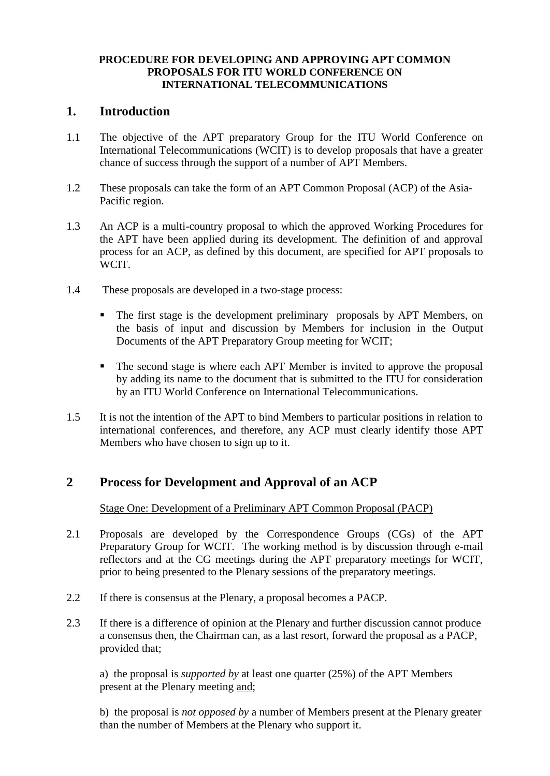#### **PROCEDURE FOR DEVELOPING AND APPROVING APT COMMON PROPOSALS FOR ITU WORLD CONFERENCE ON INTERNATIONAL TELECOMMUNICATIONS**

### **1. Introduction**

- 1.1 The objective of the APT preparatory Group for the ITU World Conference on International Telecommunications (WCIT) is to develop proposals that have a greater chance of success through the support of a number of APT Members.
- 1.2 These proposals can take the form of an APT Common Proposal (ACP) of the Asia-Pacific region.
- 1.3 An ACP is a multi-country proposal to which the approved Working Procedures for the APT have been applied during its development. The definition of and approval process for an ACP, as defined by this document, are specified for APT proposals to WCIT.
- 1.4 These proposals are developed in a two-stage process:
	- The first stage is the development preliminary proposals by APT Members, on the basis of input and discussion by Members for inclusion in the Output Documents of the APT Preparatory Group meeting for WCIT;
	- The second stage is where each APT Member is invited to approve the proposal by adding its name to the document that is submitted to the ITU for consideration by an ITU World Conference on International Telecommunications.
- 1.5 It is not the intention of the APT to bind Members to particular positions in relation to international conferences, and therefore, any ACP must clearly identify those APT Members who have chosen to sign up to it.

## **2 Process for Development and Approval of an ACP**

### Stage One: Development of a Preliminary APT Common Proposal (PACP)

- 2.1 Proposals are developed by the Correspondence Groups (CGs) of the APT Preparatory Group for WCIT. The working method is by discussion through e-mail reflectors and at the CG meetings during the APT preparatory meetings for WCIT, prior to being presented to the Plenary sessions of the preparatory meetings.
- 2.2 If there is consensus at the Plenary, a proposal becomes a PACP.
- 2.3 If there is a difference of opinion at the Plenary and further discussion cannot produce a consensus then, the Chairman can, as a last resort, forward the proposal as a PACP, provided that;

a) the proposal is *supported by* at least one quarter (25%) of the APT Members present at the Plenary meeting and;

b) the proposal is *not opposed by* a number of Members present at the Plenary greater than the number of Members at the Plenary who support it.